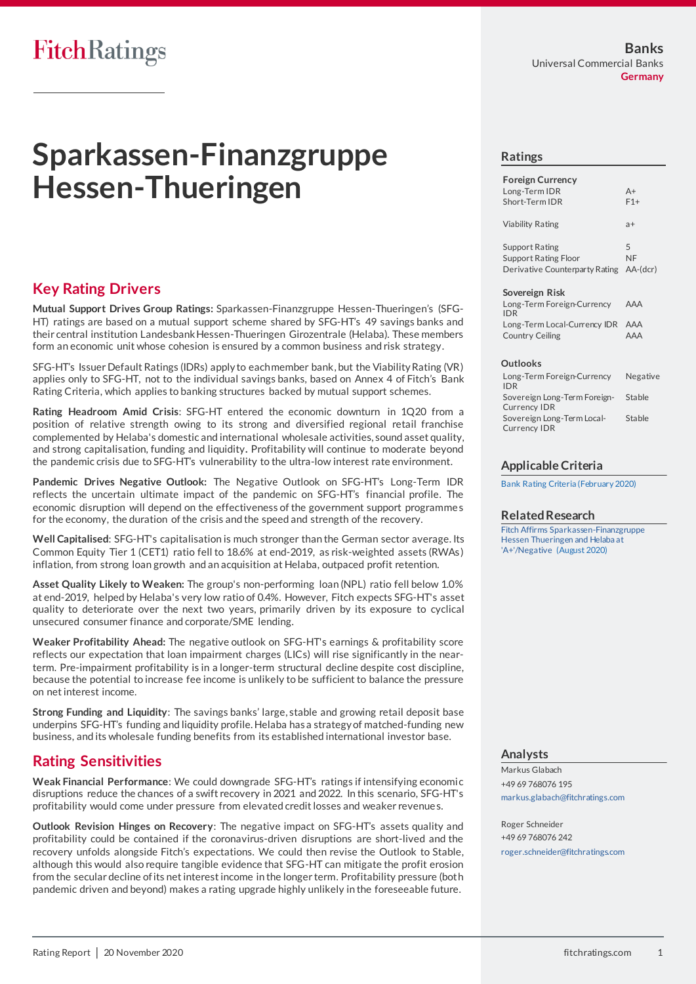# **FitchRatings**

# **Sparkassen-Finanzgruppe Hessen-Thueringen**

# **Key Rating Drivers**

**Mutual Support Drives Group Ratings:** Sparkassen-Finanzgruppe Hessen-Thueringen's (SFG-HT) ratings are based on a mutual support scheme shared by SFG-HT's 49 savings banks and their central institution Landesbank Hessen-Thueringen Girozentrale (Helaba). These members form an economic unit whose cohesion is ensured by a common business and risk strategy.

SFG-HT's Issuer Default Ratings (IDRs) apply to each member bank, but the Viability Rating (VR) applies only to SFG-HT, not to the individual savings banks, based on Annex 4 of Fitch's Bank Rating Criteria, which applies to banking structures backed by mutual support schemes.

**Rating Headroom Amid Crisis**: SFG-HT entered the economic downturn in 1Q20 from a position of relative strength owing to its strong and diversified regional retail franchise complemented by Helaba's domestic and international wholesale activities, sound asset quality, and strong capitalisation, funding and liquidity**.** Profitability will continue to moderate beyond the pandemic crisis due to SFG-HT's vulnerability to the ultra-low interest rate environment.

**Pandemic Drives Negative Outlook:** The Negative Outlook on SFG-HT's Long-Term IDR reflects the uncertain ultimate impact of the pandemic on SFG-HT's financial profile. The economic disruption will depend on the effectiveness of the government support programmes for the economy, the duration of the crisis and the speed and strength of the recovery.

**Well Capitalised**: SFG-HT's capitalisation is much stronger than the German sector average. Its Common Equity Tier 1 (CET1) ratio fell to 18.6% at end-2019, as risk-weighted assets (RWAs ) inflation, from strong loan growth and an acquisition at Helaba, outpaced profit retention.

**Asset Quality Likely to Weaken:** The group's non-performing loan (NPL) ratio fell below 1.0% at end-2019, helped by Helaba's very low ratio of 0.4%. However, Fitch expects SFG-HT's asset quality to deteriorate over the next two years, primarily driven by its exposure to cyclical unsecured consumer finance and corporate/SME lending.

**Weaker Profitability Ahead:** The negative outlook on SFG-HT's earnings & profitability score reflects our expectation that loan impairment charges (LICs) will rise significantly in the nearterm. Pre-impairment profitability is in a longer-term structural decline despite cost discipline, because the potential to increase fee income is unlikely to be sufficient to balance the pressure on net interest income.

**Strong Funding and Liquidity**: The savings banks' large, stable and growing retail deposit base underpins SFG-HT's funding and liquidity profile. Helaba has a strategy of matched-funding new business, and its wholesale funding benefits from its established international investor base.

# **Rating Sensitivities**

**Weak Financial Performance**: We could downgrade SFG-HT's ratings if intensifying economi c disruptions reduce the chances of a swift recovery in 2021 and 2022. In this scenario, SFG-HT's profitability would come under pressure from elevated credit losses and weaker revenues.

**Outlook Revision Hinges on Recovery**: The negative impact on SFG-HT's assets quality and profitability could be contained if the coronavirus-driven disruptions are short-lived and the recovery unfolds alongside Fitch's expectations. We could then revise the Outlook to Stable, although this would also require tangible evidence that SFG-HT can mitigate the profit erosion from the secular decline of its net interest income in the longer term. Profitability pressure (both pandemic driven and beyond) makes a rating upgrade highly unlikely in the foreseeable future.

### **Ratings**

| <b>Foreign Currency</b><br>Long-Term IDR<br>Short-Term IDR                             | $\Delta +$<br>$F1+$ |
|----------------------------------------------------------------------------------------|---------------------|
| Viability Rating                                                                       | $a+$                |
| <b>Support Rating</b><br><b>Support Rating Floor</b><br>Derivative Counterparty Rating | 5<br>NF<br>AA-(dcr) |

#### **Sovereign Risk**

| Long-Term Foreign-Currency<br><b>IDR</b> | AAA |
|------------------------------------------|-----|
| Long-Term Local-Currency IDR AAA         |     |
| Country Ceiling                          | AAA |

#### **Outlooks**

| Long-Term Foreign-Currency   | Negative |
|------------------------------|----------|
| <b>IDR</b>                   |          |
| Sovereign Long-Term Foreign- | Stable   |
| <b>Currency IDR</b>          |          |
| Sovereign Long-Term Local-   | Stable   |
| <b>Currency IDR</b>          |          |

### **Applicable Criteria**

[Bank Rating Criteria \(February 2020\)](https://app.fitchconnect.com/search/research/article/RPT_10110041)

#### **Related Research**

[Fitch Affirms Sparkassen-Finanzgruppe](https://app.fitchconnect.com/search/research/article/PR_10132282)  [Hessen Thueringen and Helaba at](https://app.fitchconnect.com/search/research/article/PR_10132282)  ['A+'/Negative](https://app.fitchconnect.com/search/research/article/PR_10132282) (August 2020)

### **Analysts**

Markus Glabach +49 69 768076 195 [markus.glabach@fitchratings.com](mailto:markus.glabach@fitchratings.com)

Roger Schneider +49 69 768076 242 [roger.schneider@fitchratings.com](mailto:roger.schneider@fitchratings.com)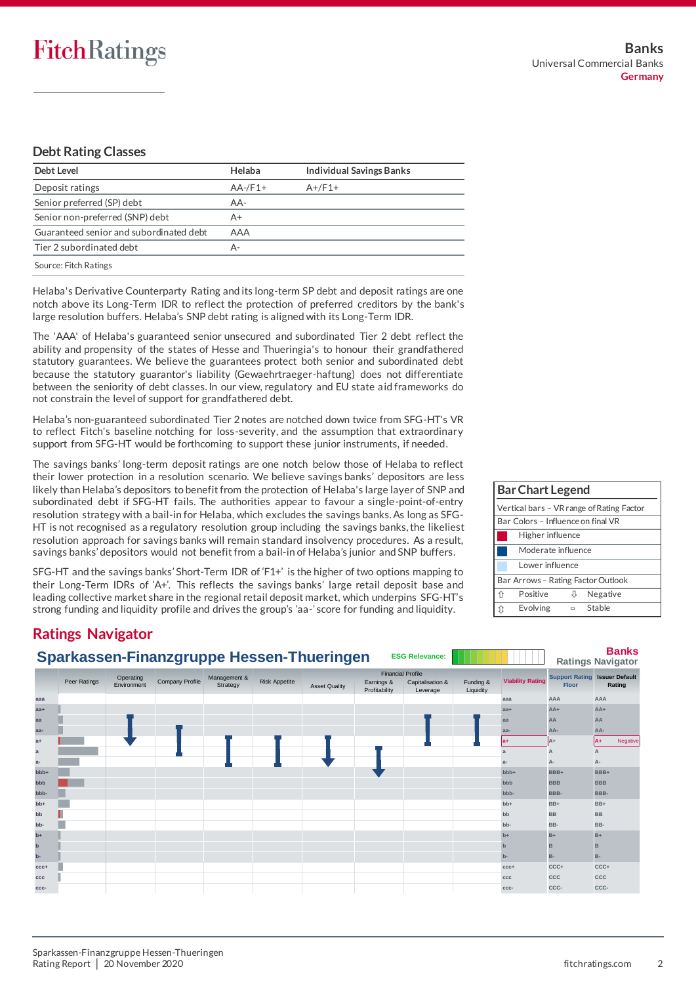## **Debt Rating Classes**

| Debt Level                              | Helaba     | <b>Individual Savings Banks</b> |
|-----------------------------------------|------------|---------------------------------|
| Deposit ratings                         | $AA$ -/F1+ | $A+/F1+$                        |
| Senior preferred (SP) debt              | AA-        |                                 |
| Senior non-preferred (SNP) debt         | A+         |                                 |
| Guaranteed senior and subordinated debt | AAA        |                                 |
| Tier 2 subordinated debt                | А-         |                                 |
| Source: Fitch Ratings                   |            |                                 |

Helaba's Derivative Counterparty Rating and its long-term SP debt and deposit ratings are one notch above its Long-Term IDR to reflect the protection of preferred creditors by the bank's large resolution buffers. Helaba's SNP debt rating is aligned with its Long-Term IDR.

The 'AAA' of Helaba's guaranteed senior unsecured and subordinated Tier 2 debt reflect the ability and propensity of the states of Hesse and Thueringia's to honour their grandfathered statutory guarantees. We believe the guarantees protect both senior and subordinated debt because the statutory guarantor's liability (Gewaehrtraeger-haftung) does not differentiate between the seniority of debt classes. In our view, regulatory and EU state aid frameworks do not constrain the level of support for grandfathered debt.

Helaba's non-guaranteed subordinated Tier 2 notes are notched down twice from SFG-HT's VR to reflect Fitch's baseline notching for loss-severity, and the assumption that extraordinary support from SFG-HT would be forthcoming to support these junior instruments, if needed.

The savings banks' long-term deposit ratings are one notch below those of Helaba to reflect their lower protection in a resolution scenario. We believe savings banks' depositors are less likely than Helaba's depositors to benefit from the protection of Helaba's large layer of SNP and subordinated debt if SFG-HT fails. The authorities appear to favour a single-point-of-entry resolution strategy with a bail-in for Helaba, which excludes the savings banks. As long as SFG-HT is not recognised as a regulatory resolution group including the savings banks, the likeliest resolution approach for savings banks will remain standard insolvency procedures. As a result, savings banks' depositors would not benefit from a bail-in of Helaba's junior and SNP buffers.

SFG-HT and the savings banks' Short-Term IDR of 'F1+' is the higher of two options mapping to their Long-Term IDRs of 'A+'. This reflects the savings banks' large retail deposit base and leading collective market share in the regional retail deposit market, which underpins SFG-HT's strong funding and liquidity profile and drives the group's 'aa-' score for funding and liquidity.

| <b>Bar Chart Legend</b>            |                                           |        |          |  |  |  |  |  |
|------------------------------------|-------------------------------------------|--------|----------|--|--|--|--|--|
|                                    | Vertical bars - VR range of Rating Factor |        |          |  |  |  |  |  |
| Bar Colors - Influence on final VR |                                           |        |          |  |  |  |  |  |
|                                    | Higher influence                          |        |          |  |  |  |  |  |
|                                    | Moderate influence                        |        |          |  |  |  |  |  |
|                                    | Lower influence                           |        |          |  |  |  |  |  |
| Bar Arrows - Rating Factor Outlook |                                           |        |          |  |  |  |  |  |
| 介                                  | Positive                                  | IJ.    | Negative |  |  |  |  |  |
| ît                                 | Evolving                                  | $\Box$ | Stable   |  |  |  |  |  |

# **Ratings Navigator**

|              |              |                          |                 |                          |                      | Sparkassen-Finanzgruppe Hessen-Thueringen |                                                         | <b>ESG Relevance:</b>        |                        |                         |                                       | <b>Banks</b><br><b>Ratings Navigator</b> |
|--------------|--------------|--------------------------|-----------------|--------------------------|----------------------|-------------------------------------------|---------------------------------------------------------|------------------------------|------------------------|-------------------------|---------------------------------------|------------------------------------------|
|              | Peer Ratings | Operating<br>Environment | Company Profile | Management &<br>Strategy | <b>Risk Appetite</b> | <b>Asset Quality</b>                      | <b>Financial Profile</b><br>Earnings &<br>Profitability | Capitalisation &<br>Leverage | Funding &<br>Liquidity | <b>Viability Rating</b> | <b>Support Rating</b><br><b>Floor</b> | <b>Issuer Default</b><br>Rating          |
| aaa          |              |                          |                 |                          |                      |                                           |                                                         |                              |                        | aaa                     | AAA                                   | AAA                                      |
| $aa+$        |              |                          |                 |                          |                      |                                           |                                                         |                              |                        | $aa+$                   | $AA+$                                 | $AA+$                                    |
| aa           |              |                          |                 |                          |                      |                                           |                                                         |                              |                        | aa                      | AA                                    | AA                                       |
| aa-          |              |                          |                 |                          |                      |                                           |                                                         |                              |                        | aa-                     | AA-                                   | AA-                                      |
| $a+$         |              |                          |                 |                          |                      |                                           |                                                         |                              |                        | $ a+$                   | $A+$                                  | Negative<br>lA+                          |
| $\mathbf{a}$ |              |                          |                 |                          |                      |                                           |                                                         |                              |                        | a                       | A                                     | A                                        |
| $a-$         |              |                          |                 |                          |                      |                                           |                                                         |                              |                        | $a-$                    | А-                                    | А-                                       |
| bbb+         |              |                          |                 |                          |                      |                                           |                                                         |                              |                        | bbb+                    | BBB+                                  | BBB+                                     |
| bbb          |              |                          |                 |                          |                      |                                           |                                                         |                              |                        | bbb                     | <b>BBB</b>                            | <b>BBB</b>                               |
| bbb-         |              |                          |                 |                          |                      |                                           |                                                         |                              |                        | bbb-                    | BBB-                                  | BBB-                                     |
| bb+          |              |                          |                 |                          |                      |                                           |                                                         |                              |                        | $bb+$                   | $BB+$                                 | $BB+$                                    |
| bb           |              |                          |                 |                          |                      |                                           |                                                         |                              |                        | bb                      | <b>BB</b>                             | <b>BB</b>                                |
| bb-          |              |                          |                 |                          |                      |                                           |                                                         |                              |                        | bb-                     | BB-                                   | BB-                                      |
| $b+$         |              |                          |                 |                          |                      |                                           |                                                         |                              |                        | $b+$                    | $B+$                                  | $B+$                                     |
| $\mathbf b$  |              |                          |                 |                          |                      |                                           |                                                         |                              |                        | $\mathbf{b}$            | B                                     | B                                        |
| $b-$         |              |                          |                 |                          |                      |                                           |                                                         |                              |                        | $b -$                   | <b>B-</b>                             | <b>B-</b>                                |
| $CCC +$      |              |                          |                 |                          |                      |                                           |                                                         |                              |                        | $CCC +$                 | CCC+                                  | CCC+                                     |
| $_{\rm ccc}$ |              |                          |                 |                          |                      |                                           |                                                         |                              |                        | CCC                     | CCC                                   | CCC                                      |
| CCC-         |              |                          |                 |                          |                      |                                           |                                                         |                              |                        | CCC-                    | CCC-                                  | CCC-                                     |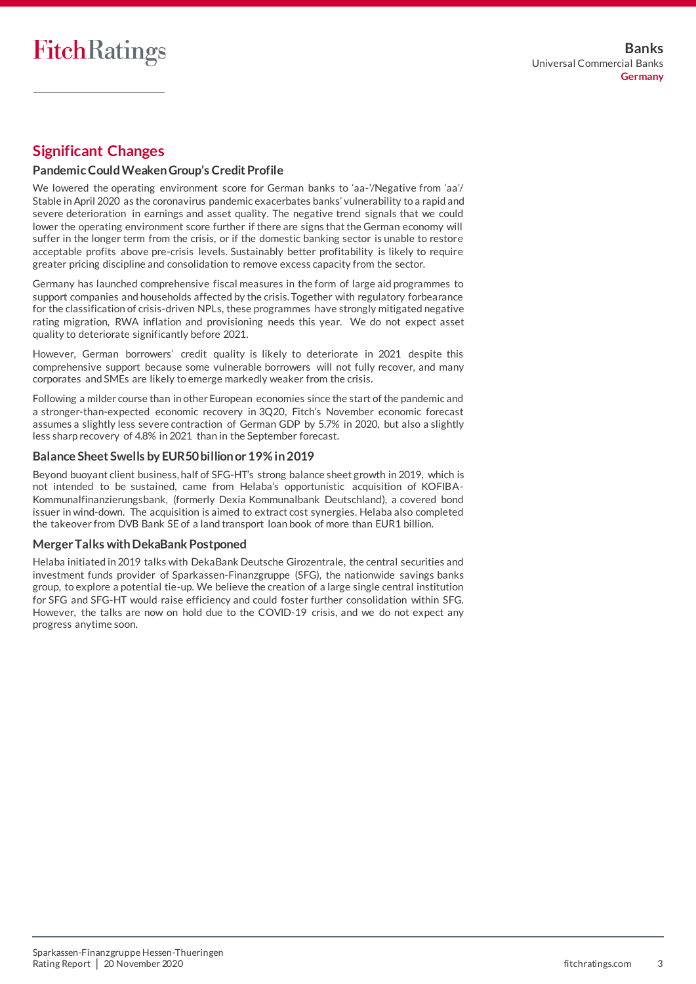# **Significant Changes**

## **Pandemic Could WeakenGroup's Credit Profile**

We lowered the operating environment score for German banks to 'aa-'/Negative from 'aa'/ Stable in April 2020 as the coronavirus pandemic exacerbates banks' vulnerability to a rapid and severe deterioration in earnings and asset quality. The negative trend signals that we could lower the operating environment score further if there are signs that the German economy will suffer in the longer term from the crisis, or if the domestic banking sector is unable to restore acceptable profits above pre-crisis levels. Sustainably better profitability is likely to require greater pricing discipline and consolidation to remove excess capacity from the sector.

Germany has launched comprehensive fiscal measures in the form of large aid programmes to support companies and households affected by the crisis. Together with regulatory forbearance for the classification of crisis-driven NPLs, these programmes have strongly mitigated negative rating migration, RWA inflation and provisioning needs this year. We do not expect asset quality to deteriorate significantly before 2021.

However, German borrowers' credit quality is likely to deteriorate in 2021 despite this comprehensive support because some vulnerable borrowers will not fully recover, and many corporates and SMEs are likely to emerge markedly weaker from the crisis.

Following a milder course than in other European economies since the start of the pandemic and a stronger-than-expected economic recovery in 3Q20, Fitch's November economic forecast assumes a slightly less severe contraction of German GDP by 5.7% in 2020, but also a slightly less sharp recovery of 4.8% in 2021 than in the September forecast.

### **Balance Sheet Swells by EUR50 billion or 19% in 2019**

Beyond buoyant client business, half of SFG-HT's strong balance sheet growth in 2019, which is not intended to be sustained, came from Helaba's opportunistic acquisition of KOFIBA-Kommunalfinanzierungsbank, (formerly Dexia Kommunalbank Deutschland), a covered bond issuer in wind-down. The acquisition is aimed to extract cost synergies. Helaba also completed the takeover from DVB Bank SE of a land transport loan book of more than EUR1 billion.

### **Merger Talks with DekaBank Postponed**

Helaba initiated in 2019 talks with DekaBank Deutsche Girozentrale, the central securities and investment funds provider of Sparkassen-Finanzgruppe (SFG), the nationwide savings banks group, to explore a potential tie-up. We believe the creation of a large single central institution for SFG and SFG-HT would raise efficiency and could foster further consolidation within SFG. However, the talks are now on hold due to the COVID-19 crisis, and we do not expect any progress anytime soon.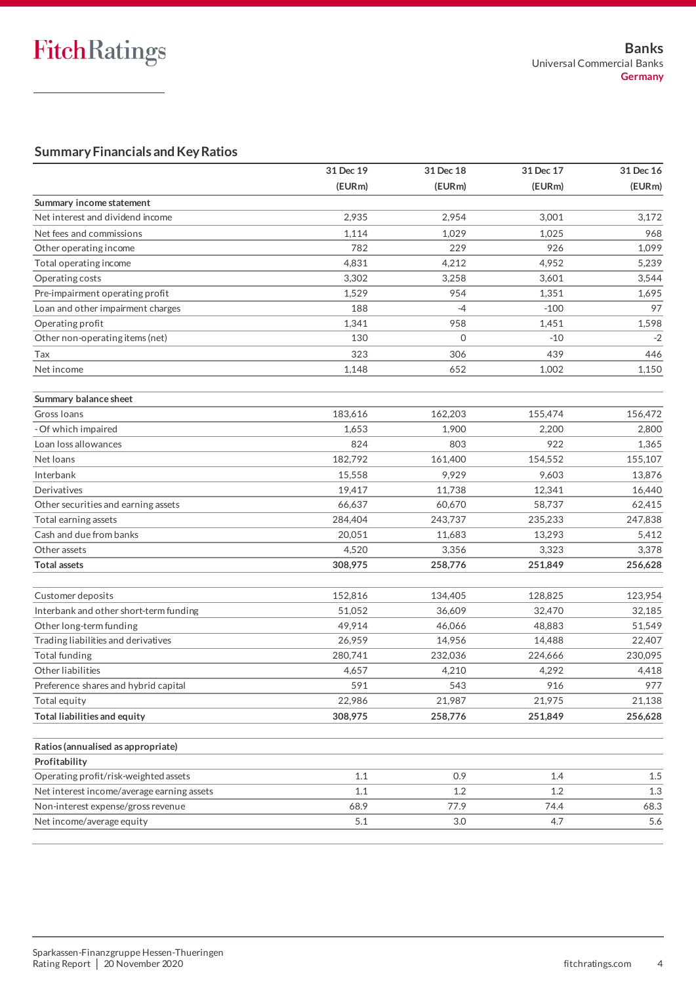# **Summary Financials and Key Ratios**

| (EURm)<br>(EURm)<br>(EURm)<br>Summary income statement<br>Net interest and dividend income<br>2,935<br>2,954<br>3,001<br>Net fees and commissions<br>1,114<br>1,029<br>1,025<br>968<br>782<br>229<br>926<br>Other operating income<br>4,831<br>4,212<br>4,952<br>Total operating income<br>3,302<br>3,258<br>3,601<br>Operating costs<br>954<br>Pre-impairment operating profit<br>1,529<br>1,351<br>1,695<br>188<br>$-4$<br>$-100$<br>Loan and other impairment charges<br>Operating profit<br>1,341<br>958<br>1,451<br>1,598<br>Other non-operating items (net)<br>$\mathbf{O}$<br>130<br>$-10$<br>323<br>306<br>439<br>Tax<br>Net income<br>1,148<br>652<br>1,002<br>Summary balance sheet<br>183.616<br>162,203<br>155,474<br>Gross Ioans<br>- Of which impaired<br>1,653<br>1,900<br>2,200<br>Loan loss allowances<br>824<br>803<br>922<br>182,792<br>161,400<br>154,552<br>Net loans<br>15,558<br>9,929<br>9,603<br>13,876<br>Interbank<br>Derivatives<br>19,417<br>11,738<br>12,341<br>Other securities and earning assets<br>60,670<br>66,637<br>58,737<br>62,415<br>284,404<br>235,233<br>Total earning assets<br>243,737<br>247,838<br>Cash and due from banks<br>20,051<br>11,683<br>13,293<br>Other assets<br>4,520<br>3,356<br>3,323<br><b>Total assets</b><br>308,975<br>258,776<br>251,849<br>256,628<br>152,816<br>128,825<br>123,954<br>Customer deposits<br>134,405<br>51,052<br>36,609<br>Interbank and other short-term funding<br>32,470<br>Other long-term funding<br>49,914<br>46,066<br>48,883<br>Trading liabilities and derivatives<br>26,959<br>14,956<br>14,488<br>230,095<br><b>Total funding</b><br>280,741<br>232,036<br>224,666<br>Other liabilities<br>4,210<br>4,292<br>4,657<br>4,418<br>591<br>543<br>916<br>Preference shares and hybrid capital<br>22,986<br>21,987<br>21,975<br>Total equity<br>Total liabilities and equity<br>308,975<br>258,776<br>251,849<br>Ratios (annualised as appropriate)<br>Profitability<br>Operating profit/risk-weighted assets<br>1.1<br>0.9<br>1.4<br>1.5<br>Net interest income/average earning assets<br>1.1<br>1.2<br>1.2<br>1.3<br>Non-interest expense/gross revenue<br>77.9<br>68.9<br>74.4<br>68.3<br>Net income/average equity<br>5.1<br>3.0<br>4.7 | 31 Dec 19 | 31 Dec 18 | 31 Dec 17 | 31 Dec 16 |
|------------------------------------------------------------------------------------------------------------------------------------------------------------------------------------------------------------------------------------------------------------------------------------------------------------------------------------------------------------------------------------------------------------------------------------------------------------------------------------------------------------------------------------------------------------------------------------------------------------------------------------------------------------------------------------------------------------------------------------------------------------------------------------------------------------------------------------------------------------------------------------------------------------------------------------------------------------------------------------------------------------------------------------------------------------------------------------------------------------------------------------------------------------------------------------------------------------------------------------------------------------------------------------------------------------------------------------------------------------------------------------------------------------------------------------------------------------------------------------------------------------------------------------------------------------------------------------------------------------------------------------------------------------------------------------------------------------------------------------------------------------------------------------------------------------------------------------------------------------------------------------------------------------------------------------------------------------------------------------------------------------------------------------------------------------------------------------------------------------------------------------------------------------------------------------------------------------------------------------|-----------|-----------|-----------|-----------|
|                                                                                                                                                                                                                                                                                                                                                                                                                                                                                                                                                                                                                                                                                                                                                                                                                                                                                                                                                                                                                                                                                                                                                                                                                                                                                                                                                                                                                                                                                                                                                                                                                                                                                                                                                                                                                                                                                                                                                                                                                                                                                                                                                                                                                                    |           |           |           | (EURm)    |
|                                                                                                                                                                                                                                                                                                                                                                                                                                                                                                                                                                                                                                                                                                                                                                                                                                                                                                                                                                                                                                                                                                                                                                                                                                                                                                                                                                                                                                                                                                                                                                                                                                                                                                                                                                                                                                                                                                                                                                                                                                                                                                                                                                                                                                    |           |           |           |           |
|                                                                                                                                                                                                                                                                                                                                                                                                                                                                                                                                                                                                                                                                                                                                                                                                                                                                                                                                                                                                                                                                                                                                                                                                                                                                                                                                                                                                                                                                                                                                                                                                                                                                                                                                                                                                                                                                                                                                                                                                                                                                                                                                                                                                                                    |           |           |           | 3,172     |
|                                                                                                                                                                                                                                                                                                                                                                                                                                                                                                                                                                                                                                                                                                                                                                                                                                                                                                                                                                                                                                                                                                                                                                                                                                                                                                                                                                                                                                                                                                                                                                                                                                                                                                                                                                                                                                                                                                                                                                                                                                                                                                                                                                                                                                    |           |           |           |           |
|                                                                                                                                                                                                                                                                                                                                                                                                                                                                                                                                                                                                                                                                                                                                                                                                                                                                                                                                                                                                                                                                                                                                                                                                                                                                                                                                                                                                                                                                                                                                                                                                                                                                                                                                                                                                                                                                                                                                                                                                                                                                                                                                                                                                                                    |           |           |           | 1,099     |
|                                                                                                                                                                                                                                                                                                                                                                                                                                                                                                                                                                                                                                                                                                                                                                                                                                                                                                                                                                                                                                                                                                                                                                                                                                                                                                                                                                                                                                                                                                                                                                                                                                                                                                                                                                                                                                                                                                                                                                                                                                                                                                                                                                                                                                    |           |           |           | 5,239     |
|                                                                                                                                                                                                                                                                                                                                                                                                                                                                                                                                                                                                                                                                                                                                                                                                                                                                                                                                                                                                                                                                                                                                                                                                                                                                                                                                                                                                                                                                                                                                                                                                                                                                                                                                                                                                                                                                                                                                                                                                                                                                                                                                                                                                                                    |           |           |           | 3,544     |
|                                                                                                                                                                                                                                                                                                                                                                                                                                                                                                                                                                                                                                                                                                                                                                                                                                                                                                                                                                                                                                                                                                                                                                                                                                                                                                                                                                                                                                                                                                                                                                                                                                                                                                                                                                                                                                                                                                                                                                                                                                                                                                                                                                                                                                    |           |           |           |           |
|                                                                                                                                                                                                                                                                                                                                                                                                                                                                                                                                                                                                                                                                                                                                                                                                                                                                                                                                                                                                                                                                                                                                                                                                                                                                                                                                                                                                                                                                                                                                                                                                                                                                                                                                                                                                                                                                                                                                                                                                                                                                                                                                                                                                                                    |           |           |           | 97        |
|                                                                                                                                                                                                                                                                                                                                                                                                                                                                                                                                                                                                                                                                                                                                                                                                                                                                                                                                                                                                                                                                                                                                                                                                                                                                                                                                                                                                                                                                                                                                                                                                                                                                                                                                                                                                                                                                                                                                                                                                                                                                                                                                                                                                                                    |           |           |           |           |
|                                                                                                                                                                                                                                                                                                                                                                                                                                                                                                                                                                                                                                                                                                                                                                                                                                                                                                                                                                                                                                                                                                                                                                                                                                                                                                                                                                                                                                                                                                                                                                                                                                                                                                                                                                                                                                                                                                                                                                                                                                                                                                                                                                                                                                    |           |           |           | $-2$      |
|                                                                                                                                                                                                                                                                                                                                                                                                                                                                                                                                                                                                                                                                                                                                                                                                                                                                                                                                                                                                                                                                                                                                                                                                                                                                                                                                                                                                                                                                                                                                                                                                                                                                                                                                                                                                                                                                                                                                                                                                                                                                                                                                                                                                                                    |           |           |           | 446       |
|                                                                                                                                                                                                                                                                                                                                                                                                                                                                                                                                                                                                                                                                                                                                                                                                                                                                                                                                                                                                                                                                                                                                                                                                                                                                                                                                                                                                                                                                                                                                                                                                                                                                                                                                                                                                                                                                                                                                                                                                                                                                                                                                                                                                                                    |           |           |           | 1,150     |
|                                                                                                                                                                                                                                                                                                                                                                                                                                                                                                                                                                                                                                                                                                                                                                                                                                                                                                                                                                                                                                                                                                                                                                                                                                                                                                                                                                                                                                                                                                                                                                                                                                                                                                                                                                                                                                                                                                                                                                                                                                                                                                                                                                                                                                    |           |           |           |           |
|                                                                                                                                                                                                                                                                                                                                                                                                                                                                                                                                                                                                                                                                                                                                                                                                                                                                                                                                                                                                                                                                                                                                                                                                                                                                                                                                                                                                                                                                                                                                                                                                                                                                                                                                                                                                                                                                                                                                                                                                                                                                                                                                                                                                                                    |           |           |           | 156,472   |
|                                                                                                                                                                                                                                                                                                                                                                                                                                                                                                                                                                                                                                                                                                                                                                                                                                                                                                                                                                                                                                                                                                                                                                                                                                                                                                                                                                                                                                                                                                                                                                                                                                                                                                                                                                                                                                                                                                                                                                                                                                                                                                                                                                                                                                    |           |           |           | 2,800     |
|                                                                                                                                                                                                                                                                                                                                                                                                                                                                                                                                                                                                                                                                                                                                                                                                                                                                                                                                                                                                                                                                                                                                                                                                                                                                                                                                                                                                                                                                                                                                                                                                                                                                                                                                                                                                                                                                                                                                                                                                                                                                                                                                                                                                                                    |           |           |           | 1,365     |
|                                                                                                                                                                                                                                                                                                                                                                                                                                                                                                                                                                                                                                                                                                                                                                                                                                                                                                                                                                                                                                                                                                                                                                                                                                                                                                                                                                                                                                                                                                                                                                                                                                                                                                                                                                                                                                                                                                                                                                                                                                                                                                                                                                                                                                    |           |           |           | 155,107   |
|                                                                                                                                                                                                                                                                                                                                                                                                                                                                                                                                                                                                                                                                                                                                                                                                                                                                                                                                                                                                                                                                                                                                                                                                                                                                                                                                                                                                                                                                                                                                                                                                                                                                                                                                                                                                                                                                                                                                                                                                                                                                                                                                                                                                                                    |           |           |           |           |
|                                                                                                                                                                                                                                                                                                                                                                                                                                                                                                                                                                                                                                                                                                                                                                                                                                                                                                                                                                                                                                                                                                                                                                                                                                                                                                                                                                                                                                                                                                                                                                                                                                                                                                                                                                                                                                                                                                                                                                                                                                                                                                                                                                                                                                    |           |           |           | 16,440    |
|                                                                                                                                                                                                                                                                                                                                                                                                                                                                                                                                                                                                                                                                                                                                                                                                                                                                                                                                                                                                                                                                                                                                                                                                                                                                                                                                                                                                                                                                                                                                                                                                                                                                                                                                                                                                                                                                                                                                                                                                                                                                                                                                                                                                                                    |           |           |           |           |
|                                                                                                                                                                                                                                                                                                                                                                                                                                                                                                                                                                                                                                                                                                                                                                                                                                                                                                                                                                                                                                                                                                                                                                                                                                                                                                                                                                                                                                                                                                                                                                                                                                                                                                                                                                                                                                                                                                                                                                                                                                                                                                                                                                                                                                    |           |           |           |           |
|                                                                                                                                                                                                                                                                                                                                                                                                                                                                                                                                                                                                                                                                                                                                                                                                                                                                                                                                                                                                                                                                                                                                                                                                                                                                                                                                                                                                                                                                                                                                                                                                                                                                                                                                                                                                                                                                                                                                                                                                                                                                                                                                                                                                                                    |           |           |           | 5,412     |
|                                                                                                                                                                                                                                                                                                                                                                                                                                                                                                                                                                                                                                                                                                                                                                                                                                                                                                                                                                                                                                                                                                                                                                                                                                                                                                                                                                                                                                                                                                                                                                                                                                                                                                                                                                                                                                                                                                                                                                                                                                                                                                                                                                                                                                    |           |           |           | 3,378     |
|                                                                                                                                                                                                                                                                                                                                                                                                                                                                                                                                                                                                                                                                                                                                                                                                                                                                                                                                                                                                                                                                                                                                                                                                                                                                                                                                                                                                                                                                                                                                                                                                                                                                                                                                                                                                                                                                                                                                                                                                                                                                                                                                                                                                                                    |           |           |           |           |
|                                                                                                                                                                                                                                                                                                                                                                                                                                                                                                                                                                                                                                                                                                                                                                                                                                                                                                                                                                                                                                                                                                                                                                                                                                                                                                                                                                                                                                                                                                                                                                                                                                                                                                                                                                                                                                                                                                                                                                                                                                                                                                                                                                                                                                    |           |           |           |           |
|                                                                                                                                                                                                                                                                                                                                                                                                                                                                                                                                                                                                                                                                                                                                                                                                                                                                                                                                                                                                                                                                                                                                                                                                                                                                                                                                                                                                                                                                                                                                                                                                                                                                                                                                                                                                                                                                                                                                                                                                                                                                                                                                                                                                                                    |           |           |           | 32,185    |
|                                                                                                                                                                                                                                                                                                                                                                                                                                                                                                                                                                                                                                                                                                                                                                                                                                                                                                                                                                                                                                                                                                                                                                                                                                                                                                                                                                                                                                                                                                                                                                                                                                                                                                                                                                                                                                                                                                                                                                                                                                                                                                                                                                                                                                    |           |           |           | 51,549    |
|                                                                                                                                                                                                                                                                                                                                                                                                                                                                                                                                                                                                                                                                                                                                                                                                                                                                                                                                                                                                                                                                                                                                                                                                                                                                                                                                                                                                                                                                                                                                                                                                                                                                                                                                                                                                                                                                                                                                                                                                                                                                                                                                                                                                                                    |           |           |           | 22,407    |
|                                                                                                                                                                                                                                                                                                                                                                                                                                                                                                                                                                                                                                                                                                                                                                                                                                                                                                                                                                                                                                                                                                                                                                                                                                                                                                                                                                                                                                                                                                                                                                                                                                                                                                                                                                                                                                                                                                                                                                                                                                                                                                                                                                                                                                    |           |           |           |           |
|                                                                                                                                                                                                                                                                                                                                                                                                                                                                                                                                                                                                                                                                                                                                                                                                                                                                                                                                                                                                                                                                                                                                                                                                                                                                                                                                                                                                                                                                                                                                                                                                                                                                                                                                                                                                                                                                                                                                                                                                                                                                                                                                                                                                                                    |           |           |           |           |
|                                                                                                                                                                                                                                                                                                                                                                                                                                                                                                                                                                                                                                                                                                                                                                                                                                                                                                                                                                                                                                                                                                                                                                                                                                                                                                                                                                                                                                                                                                                                                                                                                                                                                                                                                                                                                                                                                                                                                                                                                                                                                                                                                                                                                                    |           |           |           | 977       |
|                                                                                                                                                                                                                                                                                                                                                                                                                                                                                                                                                                                                                                                                                                                                                                                                                                                                                                                                                                                                                                                                                                                                                                                                                                                                                                                                                                                                                                                                                                                                                                                                                                                                                                                                                                                                                                                                                                                                                                                                                                                                                                                                                                                                                                    |           |           |           | 21,138    |
|                                                                                                                                                                                                                                                                                                                                                                                                                                                                                                                                                                                                                                                                                                                                                                                                                                                                                                                                                                                                                                                                                                                                                                                                                                                                                                                                                                                                                                                                                                                                                                                                                                                                                                                                                                                                                                                                                                                                                                                                                                                                                                                                                                                                                                    |           |           |           | 256,628   |
|                                                                                                                                                                                                                                                                                                                                                                                                                                                                                                                                                                                                                                                                                                                                                                                                                                                                                                                                                                                                                                                                                                                                                                                                                                                                                                                                                                                                                                                                                                                                                                                                                                                                                                                                                                                                                                                                                                                                                                                                                                                                                                                                                                                                                                    |           |           |           |           |
|                                                                                                                                                                                                                                                                                                                                                                                                                                                                                                                                                                                                                                                                                                                                                                                                                                                                                                                                                                                                                                                                                                                                                                                                                                                                                                                                                                                                                                                                                                                                                                                                                                                                                                                                                                                                                                                                                                                                                                                                                                                                                                                                                                                                                                    |           |           |           |           |
|                                                                                                                                                                                                                                                                                                                                                                                                                                                                                                                                                                                                                                                                                                                                                                                                                                                                                                                                                                                                                                                                                                                                                                                                                                                                                                                                                                                                                                                                                                                                                                                                                                                                                                                                                                                                                                                                                                                                                                                                                                                                                                                                                                                                                                    |           |           |           |           |
|                                                                                                                                                                                                                                                                                                                                                                                                                                                                                                                                                                                                                                                                                                                                                                                                                                                                                                                                                                                                                                                                                                                                                                                                                                                                                                                                                                                                                                                                                                                                                                                                                                                                                                                                                                                                                                                                                                                                                                                                                                                                                                                                                                                                                                    |           |           |           |           |
|                                                                                                                                                                                                                                                                                                                                                                                                                                                                                                                                                                                                                                                                                                                                                                                                                                                                                                                                                                                                                                                                                                                                                                                                                                                                                                                                                                                                                                                                                                                                                                                                                                                                                                                                                                                                                                                                                                                                                                                                                                                                                                                                                                                                                                    |           |           |           |           |
|                                                                                                                                                                                                                                                                                                                                                                                                                                                                                                                                                                                                                                                                                                                                                                                                                                                                                                                                                                                                                                                                                                                                                                                                                                                                                                                                                                                                                                                                                                                                                                                                                                                                                                                                                                                                                                                                                                                                                                                                                                                                                                                                                                                                                                    |           |           |           | 5.6       |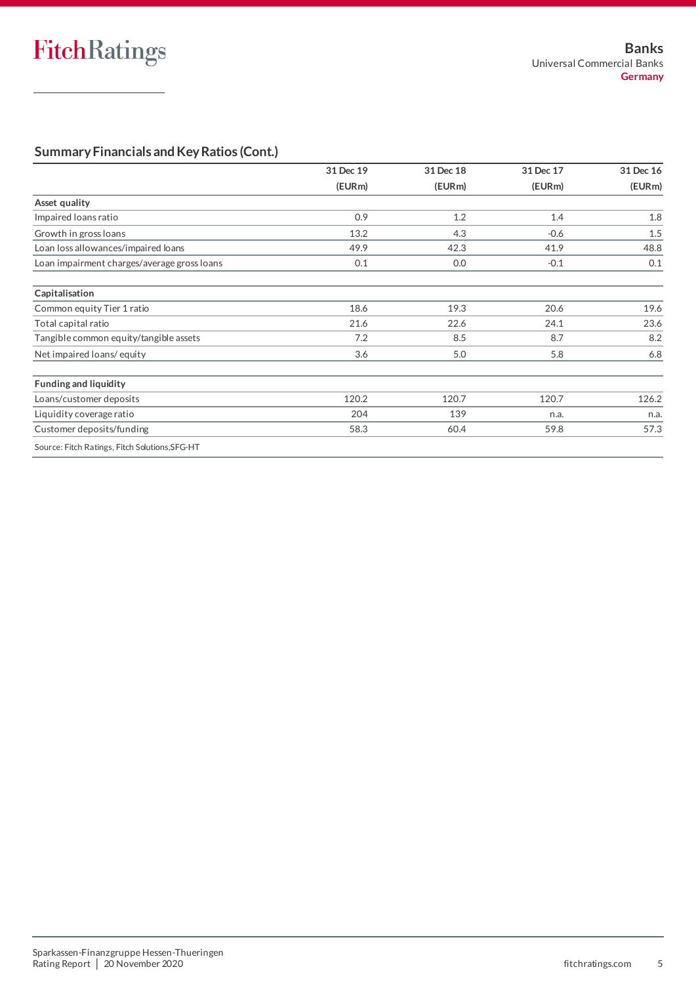# **Summary Financials and Key Ratios (Cont.)**

| 31 Dec 19 | 31 Dec 18 | 31 Dec 17 | 31 Dec 16 |
|-----------|-----------|-----------|-----------|
| (EURm)    | (EURm)    | (EURm)    | (EURm)    |
|           |           |           |           |
| 0.9       | 1.2       | 1.4       | 1.8       |
| 13.2      | 4.3       | $-0.6$    | 1.5       |
| 49.9      | 42.3      | 41.9      | 48.8      |
| 0.1       | 0.0       | $-0.1$    | 0.1       |
|           |           |           |           |
| 18.6      | 19.3      | 20.6      | 19.6      |
| 21.6      | 22.6      | 24.1      | 23.6      |
| 7.2       | 8.5       | 8.7       | 8.2       |
| 3.6       | 5.0       | 5.8       | 6.8       |
|           |           |           |           |
| 120.2     | 120.7     | 120.7     | 126.2     |
| 204       | 139       | n.a.      | n.a.      |
| 58.3      | 60.4      | 59.8      | 57.3      |
|           |           |           |           |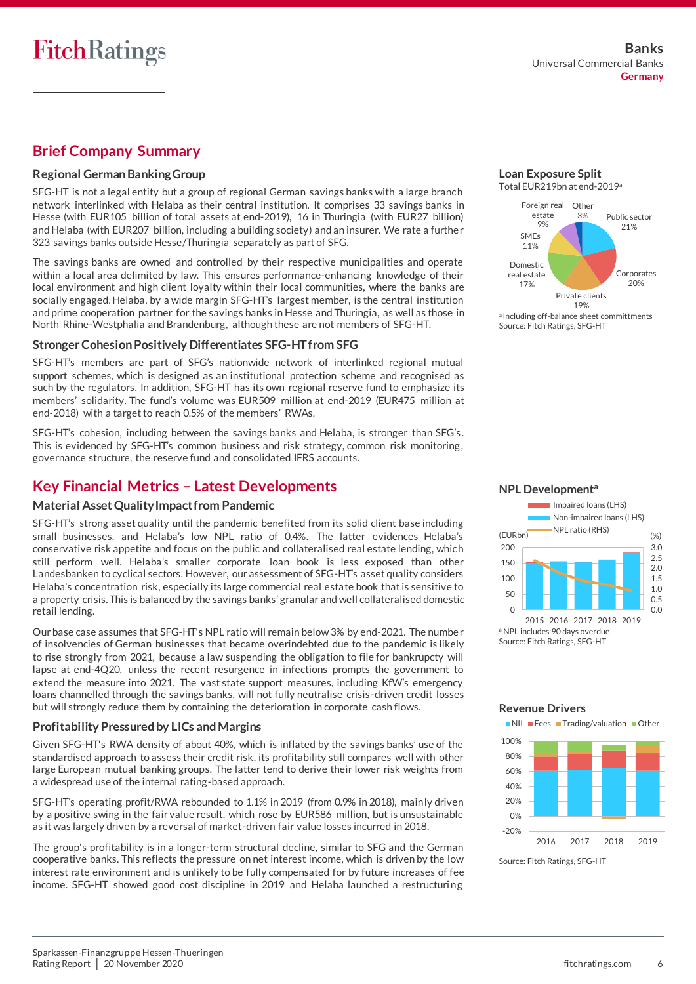# **Brief Company Summary**

### **Regional German BankingGroup**

SFG-HT is not a legal entity but a group of regional German savings banks with a large branch network interlinked with Helaba as their central institution. It comprises 33 savings banks in Hesse (with EUR105 billion of total assets at end-2019), 16 in Thuringia (with EUR27 billion) and Helaba (with EUR207 billion, including a building society) and an insurer. We rate a furthe r 323 savings banks outside Hesse/Thuringia separately as part of SFG.

The savings banks are owned and controlled by their respective municipalities and operate within a local area delimited by law. This ensures performance-enhancing knowledge of their local environment and high client loyalty within their local communities, where the banks are socially engaged. Helaba, by a wide margin SFG-HT's largest member, is the central institution and prime cooperation partner for the savings banks in Hesse and Thuringia, as well as those in North Rhine-Westphalia and Brandenburg, although these are not members of SFG-HT.

### **Stronger Cohesion Positively Differentiates SFG-HT from SFG**

SFG-HT's members are part of SFG's nationwide network of interlinked regional mutual support schemes, which is designed as an institutional protection scheme and recognised as such by the regulators. In addition, SFG-HT has its own regional reserve fund to emphasize its members' solidarity. The fund's volume was EUR509 million at end-2019 (EUR475 million at end-2018) with a target to reach 0.5% of the members' RWAs.

SFG-HT's cohesion, including between the savings banks and Helaba, is stronger than SFG's . This is evidenced by SFG-HT's common business and risk strategy, common risk monitoring , governance structure, the reserve fund and consolidated IFRS accounts.

# **Key Financial Metrics – Latest Developments**

## **Material Asset Quality Impact from Pandemic**

SFG-HT's strong asset quality until the pandemic benefited from its solid client base including small businesses, and Helaba's low NPL ratio of 0.4%. The latter evidences Helaba's conservative risk appetite and focus on the public and collateralised real estate lending, which still perform well. Helaba's smaller corporate loan book is less exposed than other Landesbanken to cyclical sectors. However, our assessment of SFG-HT's asset quality considers Helaba's concentration risk, especially its large commercial real estate book that is sensitive to a property crisis. This is balanced by the savings banks' granular and well collateralised domestic retail lending.

Our base case assumes that SFG-HT's NPL ratio will remain below 3% by end-2021. The numbe r of insolvencies of German businesses that became overindebted due to the pandemic is likely to rise strongly from 2021, because a law suspending the obligation to file for bankrupcty will lapse at end-4Q20, unless the recent resurgence in infections prompts the government to extend the measure into 2021. The vast state support measures, including KfW's emergency loans channelled through the savings banks, will not fully neutralise crisis -driven credit losses but will strongly reduce them by containing the deterioration in corporate cash flows.

## **Profitability Pressured by LICs and Margins**

Given SFG-HT's RWA density of about 40%, which is inflated by the savings banks' use of the standardised approach to assess their credit risk, its profitability still compares well with other large European mutual banking groups. The latter tend to derive their lower risk weights from a widespread use of the internal rating-based approach.

SFG-HT's operating profit/RWA rebounded to 1.1% in 2019 (from 0.9% in 2018), mainly driven by a positive swing in the fair value result, which rose by EUR586 million, but is unsustainable as it was largely driven by a reversal of market-driven fair value losses incurred in 2018.

The group's profitability is in a longer-term structural decline, similar to SFG and the German cooperative banks. This reflects the pressure on net interest income, which is driven by the low interest rate environment and is unlikely to be fully compensated for by future increases of fee income. SFG-HT showed good cost discipline in 2019 and Helaba launched a restructuring

#### **Loan Exposure Split** Total EUR219bn at end-2019<sup>a</sup>







#### **Revenue Drivers**

-20% 0% 20% 40% 60% 80% 100% **NII Fees Trading/valuation Other** 

2016 2017 2018 2019

Source: Fitch Ratings, SFG-HT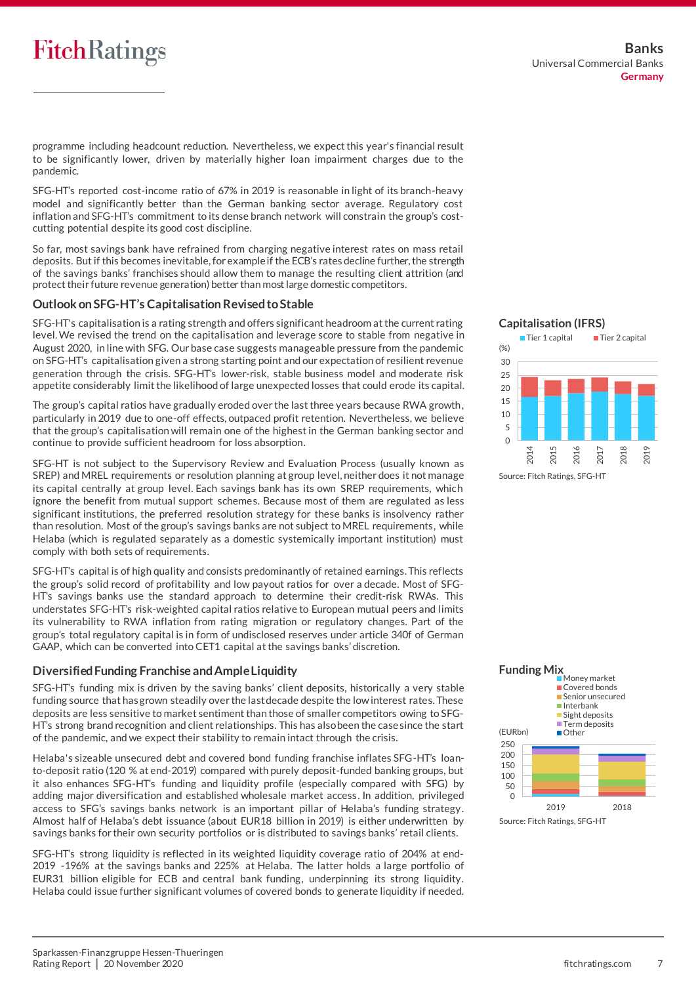# **FitchRatings**

programme including headcount reduction. Nevertheless, we expect this year's financial result to be significantly lower, driven by materially higher loan impairment charges due to the pandemic.

SFG-HT's reported cost-income ratio of 67% in 2019 is reasonable in light of its branch-heavy model and significantly better than the German banking sector average. Regulatory cost inflation and SFG-HT's commitment to its dense branch network will constrain the group's costcutting potential despite its good cost discipline.

So far, most savings bank have refrained from charging negative interest rates on mass retail deposits. But if this becomes inevitable, for example if the ECB's rates decline further, the strength of the savings banks' franchises should allow them to manage the resulting client attrition (and protect their future revenue generation) better than most large domestic competitors.

### **Outlook on SFG-HT's CapitalisationRevised to Stable**

SFG-HT's capitalisation is a rating strength and offers significant headroom at the current rating level. We revised the trend on the capitalisation and leverage score to stable from negative in August 2020, in line with SFG. Our base case suggests manageable pressure from the pandemic on SFG-HT's capitalisation given a strong starting point and our expectation of resilient revenue generation through the crisis. SFG-HT's lower-risk, stable business model and moderate risk appetite considerably limit the likelihood of large unexpected losses that could erode its capital.

The group's capital ratios have gradually eroded over the last three years because RWA growth, particularly in 2019 due to one-off effects, outpaced profit retention. Nevertheless, we believe that the group's capitalisation will remain one of the highest in the German banking sector and continue to provide sufficient headroom for loss absorption.

SFG-HT is not subject to the Supervisory Review and Evaluation Process (usually known as SREP) and MREL requirements or resolution planning at group level, neither does it not manage its capital centrally at group level. Each savings bank has its own SREP requirements, which ignore the benefit from mutual support schemes. Because most of them are regulated as less significant institutions, the preferred resolution strategy for these banks is insolvency rather than resolution. Most of the group's savings banks are not subject to MREL requirements, while Helaba (which is regulated separately as a domestic systemically important institution) must comply with both sets of requirements.

SFG-HT's capital is of high quality and consists predominantly of retained earnings. This reflects the group's solid record of profitability and low payout ratios for over a decade. Most of SFG-HT's savings banks use the standard approach to determine their credit-risk RWAs. This understates SFG-HT's risk-weighted capital ratios relative to European mutual peers and limits its vulnerability to RWA inflation from rating migration or regulatory changes. Part of the group's total regulatory capital is in form of undisclosed reserves under article 340f of German GAAP, which can be converted into CET1 capital at the savings banks' discretion.

### **Diversified Funding Franchise and Ample Liquidity**

SFG-HT's funding mix is driven by the saving banks' client deposits, historically a very stable funding source that has grown steadily over the last decade despite the low interest rates. These deposits are less sensitive to market sentiment than those of smaller competitors owing to SFG-HT's strong brand recognition and client relationships. This has also been the case since the start of the pandemic, and we expect their stability to remain intact through the crisis.

Helaba's sizeable unsecured debt and covered bond funding franchise inflates SFG-HT's loanto-deposit ratio (120 % at end-2019) compared with purely deposit-funded banking groups, but it also enhances SFG-HT's funding and liquidity profile (especially compared with SFG) by adding major diversification and established wholesale market access. In addition, privileged access to SFG's savings banks network is an important pillar of Helaba's funding strategy. Almost half of Helaba's debt issuance (about EUR18 billion in 2019) is either underwritten by savings banks for their own security portfolios or is distributed to savings banks' retail clients.

SFG-HT's strong liquidity is reflected in its weighted liquidity coverage ratio of 204% at end-2019 -196% at the savings banks and 225% at Helaba. The latter holds a large portfolio of EUR31 billion eligible for ECB and central bank funding, underpinning its strong liquidity. Helaba could issue further significant volumes of covered bonds to generate liquidity if needed.





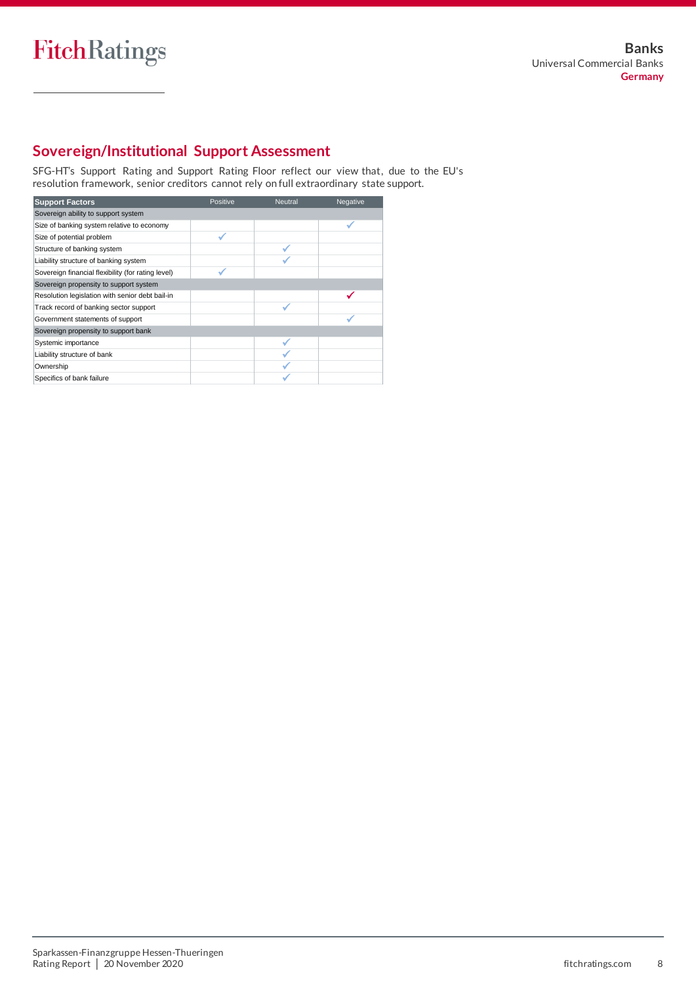

# **Sovereign/Institutional Support Assessment**

SFG-HT's Support Rating and Support Rating Floor reflect our view that, due to the EU's resolution framework, senior creditors cannot rely on full extraordinary state support.  $\sim$ **NF**

| <b>Support Factors</b>                             | Positive | <b>Neutral</b> | Negative |
|----------------------------------------------------|----------|----------------|----------|
| Sovereign ability to support system                |          |                |          |
| Size of banking system relative to economy         |          |                |          |
| Size of potential problem                          |          |                |          |
| Structure of banking system                        |          |                |          |
| Liability structure of banking system              |          |                |          |
| Sovereign financial flexibility (for rating level) |          |                |          |
| Sovereign propensity to support system             |          |                |          |
| Resolution legislation with senior debt bail-in    |          |                |          |
| Track record of banking sector support             |          |                |          |
| Government statements of support                   |          |                |          |
| Sovereign propensity to support bank               |          |                |          |
| Systemic importance                                |          |                |          |
| Liability structure of bank                        |          |                |          |
| Ownership                                          |          |                |          |
| Specifics of bank failure                          |          |                |          |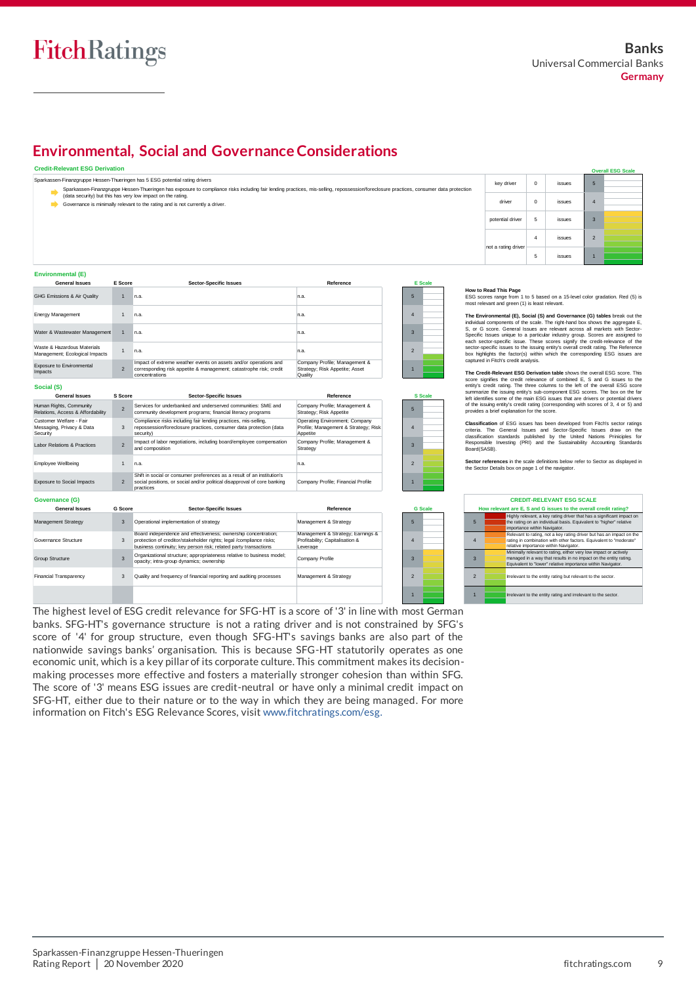# **Environmental, Social and Governance Considerations**

#### **Credit-Relevant ESG Derivation**

| <b>Credit-Relevant ESG Derivation</b> |         |                                                                                                                                                                                                                                                                        |               |         |                                                                                                                                                         |                |        |                | <b>Overall ESG Scale</b> |
|---------------------------------------|---------|------------------------------------------------------------------------------------------------------------------------------------------------------------------------------------------------------------------------------------------------------------------------|---------------|---------|---------------------------------------------------------------------------------------------------------------------------------------------------------|----------------|--------|----------------|--------------------------|
|                                       |         | Sparkassen-Finanzgruppe Hessen-Thueringen has 5 ESG potential rating drivers<br>Sparkassen-Finanzgruppe Hessen-Thueringen has exposure to compliance risks including fair lending practices, mis-selling, repossession/foreclosure practices, consumer data protection |               |         | key driver                                                                                                                                              | $\Omega$       | issues | 5              |                          |
|                                       |         | (data security) but this has very low impact on the rating.<br>Governance is minimally relevant to the rating and is not currently a driver.                                                                                                                           |               |         | driver                                                                                                                                                  | $\Omega$       | issues |                |                          |
|                                       |         |                                                                                                                                                                                                                                                                        |               |         | potential driver                                                                                                                                        | 5              | issues | 3              |                          |
|                                       |         |                                                                                                                                                                                                                                                                        |               |         | not a rating driver                                                                                                                                     | $\overline{4}$ | issues | $\overline{2}$ |                          |
|                                       |         |                                                                                                                                                                                                                                                                        |               |         |                                                                                                                                                         | 5              | issues |                |                          |
| <b>Environmental (E)</b>              |         |                                                                                                                                                                                                                                                                        |               |         |                                                                                                                                                         |                |        |                |                          |
| <b>General Issues</b>                 | E Score | <b>Sector-Specific Issues</b>                                                                                                                                                                                                                                          | Reference     | E Scale |                                                                                                                                                         |                |        |                |                          |
| GHG Emissions & Air Quality           |         | In.a.                                                                                                                                                                                                                                                                  | n.a.          | ь       | How to Read This Page<br>ESG scores range from 1 to 5 based on a 15-level color gradation. Red (5) is<br>most relevant and green (1) is least relevant. |                |        |                |                          |
| Energy Monggoment                     |         | $-$                                                                                                                                                                                                                                                                    | $\sim$ $\sim$ |         |                                                                                                                                                         |                |        |                |                          |

ant & Strategy

#### **Environmental (E)**

Financial Transparency

| General Issues                                                   | E Score        | Sector-Specific Issues                                                                                                                                   | Reference                                                                          |                | <b>E</b> Scale |  |
|------------------------------------------------------------------|----------------|----------------------------------------------------------------------------------------------------------------------------------------------------------|------------------------------------------------------------------------------------|----------------|----------------|--|
| GHG Emissions & Air Quality                                      |                | n.a.                                                                                                                                                     | n.a.                                                                               | 5              |                |  |
| <b>Energy Management</b>                                         |                | n.a.                                                                                                                                                     | n.a.                                                                               | $\Delta$       |                |  |
| Water & Wastewater Management                                    |                | n.a.                                                                                                                                                     | n.a.                                                                               | з              |                |  |
| Waste & Hazardous Materials<br>Management; Ecological Impacts    |                | n.a.                                                                                                                                                     | n.a.                                                                               | $\overline{2}$ |                |  |
| Exposure to Environmental<br>Impacts                             | $\overline{2}$ | Impact of extreme weather events on assets and/or operations and<br>corresponding risk appetite & management; catastrophe risk; credit<br>concentrations | Company Profile; Management &<br>Strategy; Risk Appetite; Asset<br>Quality         |                |                |  |
| Social (S)<br><b>General Issues</b>                              | S Score        | <b>Sector-Specific Issues</b>                                                                                                                            | Reference                                                                          |                | <b>S</b> Scale |  |
|                                                                  |                |                                                                                                                                                          |                                                                                    |                |                |  |
| Human Rights, Community<br>Relations, Access & Affordability     | $\overline{2}$ | Services for underbanked and underserved communities: SME and<br>community development programs; financial literacy programs                             | Company Profile; Management &<br>Strategy; Risk Appetite                           | 5              |                |  |
| Customer Welfare - Fair<br>Messaging, Privacy & Data<br>Security | 3              | Compliance risks including fair lending practices, mis-selling,<br>repossession/foreclosure practices, consumer data protection (data<br>security)       | Operating Environment; Company<br>Profile; Management & Strategy; Risk<br>Appetite | $\Delta$       |                |  |
| Labor Relations & Practices                                      | $\overline{2}$ | Impact of labor negotiations, including board/employee compensation<br>and composition                                                                   | Company Profile; Management &<br>Strategy                                          | 3              |                |  |

| Employee Wellbeing                |               | n.a.                                                                                                                                                                                                      | n.a.                                                                             |
|-----------------------------------|---------------|-----------------------------------------------------------------------------------------------------------------------------------------------------------------------------------------------------------|----------------------------------------------------------------------------------|
| <b>Exposure to Social Impacts</b> | $\mathcal{P}$ | Shift in social or consumer preferences as a result of an institution's<br>social positions, or social and/or political disapproval of core banking<br>practices                                          | Company Profile; Financial Profile                                               |
| Governance (G)                    |               |                                                                                                                                                                                                           |                                                                                  |
| <b>General Issues</b>             | G Score       | <b>Sector-Specific Issues</b>                                                                                                                                                                             | Reference                                                                        |
| Management Strategy               | 3             | Operational implementation of strategy                                                                                                                                                                    | Management & Strategy                                                            |
| Governance Structure              | 3             | Board independence and effectiveness; ownership concentration;<br>protection of creditor/stakeholder rights; legal /compliance risks;<br>business continuity; key person risk; related party transactions | Management & Strategy; Earnings &<br>Profitability; Capitalisation &<br>Leverage |
| <b>Group Structure</b>            |               | Organizational structure; appropriateness relative to business model;<br>opacity; intra-group dynamics; ownership                                                                                         | Company Profile                                                                  |
|                                   |               |                                                                                                                                                                                                           |                                                                                  |

3 Quality and frequency of financial reporting and auditing processes

3 2 1

**G Scale**

**The Environmental (E), Social (S) and Governance (G) tables** break out the individual components of the scale. The right-hand box shows the aggregate E, S, or G score. General Issues are relevant across all markets with Sector-How to Read This Page<br>
ESC scores range from 1 to 5 based on a 15-level color gradation. Red (5) is<br>
ensist relevant and green (1) is least relevant.<br>
The Environmental (E), Social (S) and Governance (G) tables break out t How to Read This Page<br>
ESG scores range from 1 to 5 based on a 15-level color gradation. Red (5) is<br>
ensist relevant and green (1) is least relevant.<br>
The Environmental (E), Social (S) and Governance (G) tables break out t The Environmental (E), Social (S) and Governance (G) tables break out the circle credit relevance of control include the credit relevance of controls as unique to a particlar industry group. Socies are assigned to compare

**The Credit-Relevant ESG Derivation table** shows the overall ESG score. This summarize the issuing entity's sub-component ESG scores. The box on the far<br>left identifies some of the main ESG issues that are drivers or potential drivers<br>of the issuing entity's credit rating (corresponding with scores

**Classification** of ESG issues has been developed from Fitch's sector ratings criteria. The General Issues and Sector-Specific Issues araw on the classification standards published by the United Nations Principles for Resp ponsibie<br>rd(SASB). Ieft identifies some of the main ESG issues that are drivers or potential drivers<br>of the issuing entity's credit rating (corresponding with scores of 3, 4 or 5) and<br>provides a brief explanation for the score.<br>**Classificati** 

Sector references in the scale definitions below refer to Sector as displayed in the Sector Details box on page 1 of the navigator.

| <b>CREDIT-RELEVANT ESG SCALE</b>                                 |                                                                                                                                                                                                     |
|------------------------------------------------------------------|-----------------------------------------------------------------------------------------------------------------------------------------------------------------------------------------------------|
| How relevant are E, S and G issues to the overall credit rating? |                                                                                                                                                                                                     |
| 5                                                                | Highly relevant, a key rating driver that has a significant impact on<br>the rating on an individual basis. Equivalent to "higher" relative<br>importance within Navigator.                         |
| $\overline{4}$                                                   | Relevant to rating, not a key rating driver but has an impact on the<br>rating in combination with other factors. Equivalent to "moderate"<br>relative importance within Navigator.                 |
| 3                                                                | Minimally relevant to rating, either very low impact or actively<br>managed in a way that results in no impact on the entity rating.<br>Equivalent to "lower" relative importance within Navigator. |
| $\mathcal{P}$                                                    | Irrelevant to the entity rating but relevant to the sector.                                                                                                                                         |
|                                                                  | Irrelevant to the entity rating and irrelevant to the sector.                                                                                                                                       |

The highest level of ESG credit relevance for SFG-HT is a score of '3' in line with most German banks. SFG-HT's governance structure is not a rating driver and is not constrained by SFG's score of '4' for group structure, even though SFG-HT's savings banks are also part of the nationwide savings banks' organisation. This is because SFG-HT statutorily operates as one economic unit, which is a key pillar of its corporate culture. This commitment makes its decisionmaking processes more effective and fosters a materially stronger cohesion than within SFG. The score of '3' means ESG issues are credit-neutral or have only a minimal credit impact on SFG-HT, either due to their nature or to the way in which they are being managed. For more information on Fitch's ESG Relevance Scores, visi[t www.fitchratings.com/esg.](http://www.fitchratings.com/esg)